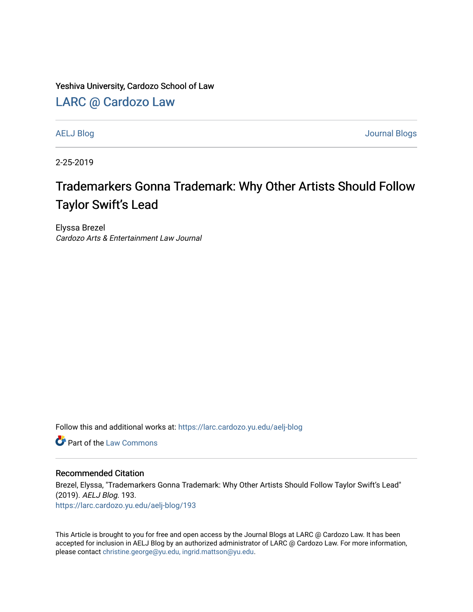Yeshiva University, Cardozo School of Law

[LARC @ Cardozo Law](https://larc.cardozo.yu.edu/)

[AELJ Blog](https://larc.cardozo.yu.edu/aelj-blog) [Journal Blogs](https://larc.cardozo.yu.edu/journal-blogs) 

2-25-2019

## Trademarkers Gonna Trademark: Why Other Artists Should Follow Taylor Swift's Lead

Elyssa Brezel Cardozo Arts & Entertainment Law Journal

Follow this and additional works at: [https://larc.cardozo.yu.edu/aelj-blog](https://larc.cardozo.yu.edu/aelj-blog?utm_source=larc.cardozo.yu.edu%2Faelj-blog%2F193&utm_medium=PDF&utm_campaign=PDFCoverPages) 

**C** Part of the [Law Commons](http://network.bepress.com/hgg/discipline/578?utm_source=larc.cardozo.yu.edu%2Faelj-blog%2F193&utm_medium=PDF&utm_campaign=PDFCoverPages)

## Recommended Citation

Brezel, Elyssa, "Trademarkers Gonna Trademark: Why Other Artists Should Follow Taylor Swift's Lead" (2019). AELJ Blog. 193. [https://larc.cardozo.yu.edu/aelj-blog/193](https://larc.cardozo.yu.edu/aelj-blog/193?utm_source=larc.cardozo.yu.edu%2Faelj-blog%2F193&utm_medium=PDF&utm_campaign=PDFCoverPages) 

This Article is brought to you for free and open access by the Journal Blogs at LARC @ Cardozo Law. It has been accepted for inclusion in AELJ Blog by an authorized administrator of LARC @ Cardozo Law. For more information, please contact [christine.george@yu.edu, ingrid.mattson@yu.edu.](mailto:christine.george@yu.edu,%20ingrid.mattson@yu.edu)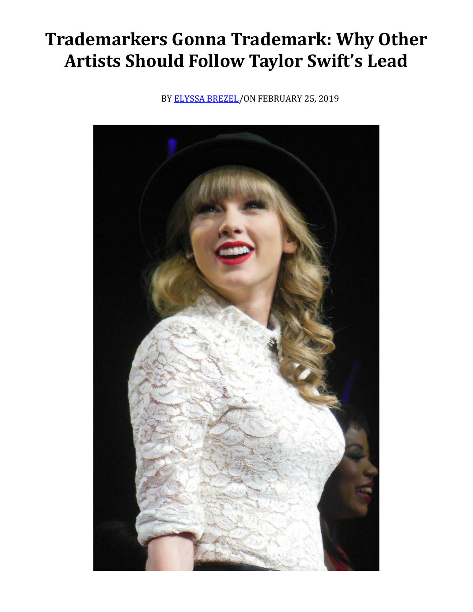## **Trademarkers Gonna Trademark: Why Other Artists Should Follow Taylor Swift's Lead**

BY [ELYSSA BREZEL/](https://cardozoaelj.com/author/elyssa-brezel/)ON FEBRUARY 25, 2019

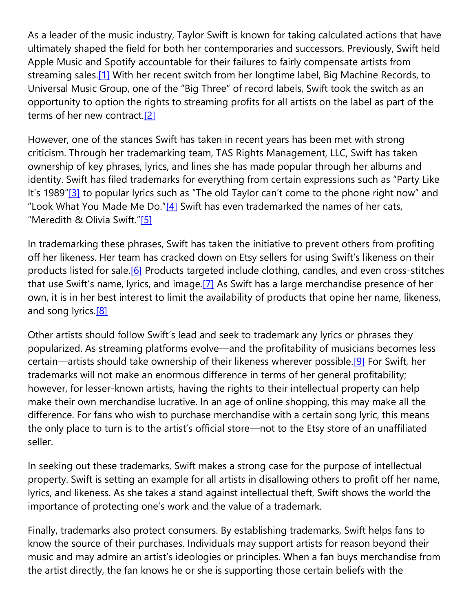As a leader of the music industry, Taylor Swift is known for taking calculated actions that have ultimately shaped the field for both her contemporaries and successors. Previously, Swift held Apple Music and Spotify accountable for their failures to fairly compensate artists from streaming sales.<sup>[1]</sup> With her recent switch from her longtime label, Big Machine Records, to Universal Music Group, one of the "Big Three" of record labels, Swift took the switch as an opportunity to option the rights to streaming profits for all artists on the label as part of the terms of her new contract[.\[2\]](https://cardozoaelj.com/2019/02/25/trademarkers-gonna-trademark-artists-follow-taylor-swifts-lead/#_ftn2)

However, one of the stances Swift has taken in recent years has been met with strong criticism. Through her trademarking team, TAS Rights Management, LLC, Swift has taken ownership of key phrases, lyrics, and lines she has made popular through her albums and identity. Swift has filed trademarks for everything from certain expressions such as "Party Like It's 1989"[\[3\]](https://cardozoaelj.com/2019/02/25/trademarkers-gonna-trademark-artists-follow-taylor-swifts-lead/#_ftn3) to popular lyrics such as "The old Taylor can't come to the phone right now" and "Look What You Made Me Do." $[4]$  Swift has even trademarked the names of her cats, "Meredith & Olivia Swift."[\[5\]](https://cardozoaelj.com/2019/02/25/trademarkers-gonna-trademark-artists-follow-taylor-swifts-lead/#_ftn5)

In trademarking these phrases, Swift has taken the initiative to prevent others from profiting off her likeness. Her team has cracked down on Etsy sellers for using Swift's likeness on their products listed for sale.<sup>[6]</sup> Products targeted include clothing, candles, and even cross-stitches that use Swift's name, lyrics, and image.[\[7\]](https://cardozoaelj.com/2019/02/25/trademarkers-gonna-trademark-artists-follow-taylor-swifts-lead/#_ftn7) As Swift has a large merchandise presence of her own, it is in her best interest to limit the availability of products that opine her name, likeness, and song lyrics.<sup>[8]</sup>

Other artists should follow Swift's lead and seek to trademark any lyrics or phrases they popularized. As streaming platforms evolve—and the profitability of musicians becomes less certain—artists should take ownership of their likeness wherever possible[.\[9\]](https://cardozoaelj.com/2019/02/25/trademarkers-gonna-trademark-artists-follow-taylor-swifts-lead/#_ftn9) For Swift, her trademarks will not make an enormous difference in terms of her general profitability; however, for lesser-known artists, having the rights to their intellectual property can help make their own merchandise lucrative. In an age of online shopping, this may make all the difference. For fans who wish to purchase merchandise with a certain song lyric, this means the only place to turn is to the artist's official store—not to the Etsy store of an unaffiliated seller.

In seeking out these trademarks, Swift makes a strong case for the purpose of intellectual property. Swift is setting an example for all artists in disallowing others to profit off her name, lyrics, and likeness. As she takes a stand against intellectual theft, Swift shows the world the importance of protecting one's work and the value of a trademark.

Finally, trademarks also protect consumers. By establishing trademarks, Swift helps fans to know the source of their purchases. Individuals may support artists for reason beyond their music and may admire an artist's ideologies or principles. When a fan buys merchandise from the artist directly, the fan knows he or she is supporting those certain beliefs with the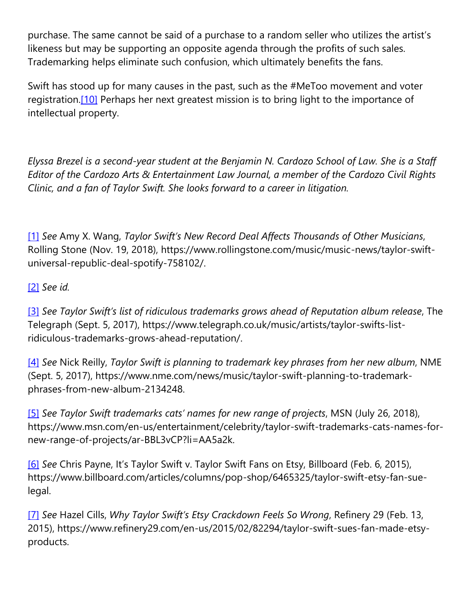purchase. The same cannot be said of a purchase to a random seller who utilizes the artist's likeness but may be supporting an opposite agenda through the profits of such sales. Trademarking helps eliminate such confusion, which ultimately benefits the fans.

Swift has stood up for many causes in the past, such as the #MeToo movement and voter registration.<sup>[10]</sup> Perhaps her next greatest mission is to bring light to the importance of intellectual property.

*Elyssa Brezel is a second-year student at the Benjamin N. Cardozo School of Law. She is a Staff Editor of the Cardozo Arts & Entertainment Law Journal, a member of the Cardozo Civil Rights Clinic, and a fan of Taylor Swift. She looks forward to a career in litigation.*

[\[1\]](https://cardozoaelj.com/2019/02/25/trademarkers-gonna-trademark-artists-follow-taylor-swifts-lead/#_ftnref1) *See* Amy X. Wang, *Taylor Swift's New Record Deal Affects Thousands of Other Musicians*, Rolling Stone (Nov. 19, 2018), https://www.rollingstone.com/music/music-news/taylor-swiftuniversal-republic-deal-spotify-758102/.

## [\[2\]](https://cardozoaelj.com/2019/02/25/trademarkers-gonna-trademark-artists-follow-taylor-swifts-lead/#_ftnref2) *See id.*

[\[3\]](https://cardozoaelj.com/2019/02/25/trademarkers-gonna-trademark-artists-follow-taylor-swifts-lead/#_ftnref3) *See Taylor Swift's list of ridiculous trademarks grows ahead of Reputation album release*, The Telegraph (Sept. 5, 2017), https://www.telegraph.co.uk/music/artists/taylor-swifts-listridiculous-trademarks-grows-ahead-reputation/.

[\[4\]](https://cardozoaelj.com/2019/02/25/trademarkers-gonna-trademark-artists-follow-taylor-swifts-lead/#_ftnref4) *See* Nick Reilly, *Taylor Swift is planning to trademark key phrases from her new album*, NME (Sept. 5, 2017), https://www.nme.com/news/music/taylor-swift-planning-to-trademarkphrases-from-new-album-2134248.

[\[5\]](https://cardozoaelj.com/2019/02/25/trademarkers-gonna-trademark-artists-follow-taylor-swifts-lead/#_ftnref5) *See Taylor Swift trademarks cats' names for new range of projects*, MSN (July 26, 2018), https://www.msn.com/en-us/entertainment/celebrity/taylor-swift-trademarks-cats-names-fornew-range-of-projects/ar-BBL3vCP?li=AA5a2k.

[\[6\]](https://cardozoaelj.com/2019/02/25/trademarkers-gonna-trademark-artists-follow-taylor-swifts-lead/#_ftnref6) *See* Chris Payne, It's Taylor Swift v. Taylor Swift Fans on Etsy, Billboard (Feb. 6, 2015), https://www.billboard.com/articles/columns/pop-shop/6465325/taylor-swift-etsy-fan-suelegal.

[\[7\]](https://cardozoaelj.com/2019/02/25/trademarkers-gonna-trademark-artists-follow-taylor-swifts-lead/#_ftnref7) *See* Hazel Cills, *Why Taylor Swift's Etsy Crackdown Feels So Wrong*, Refinery 29 (Feb. 13, 2015), https://www.refinery29.com/en-us/2015/02/82294/taylor-swift-sues-fan-made-etsyproducts.